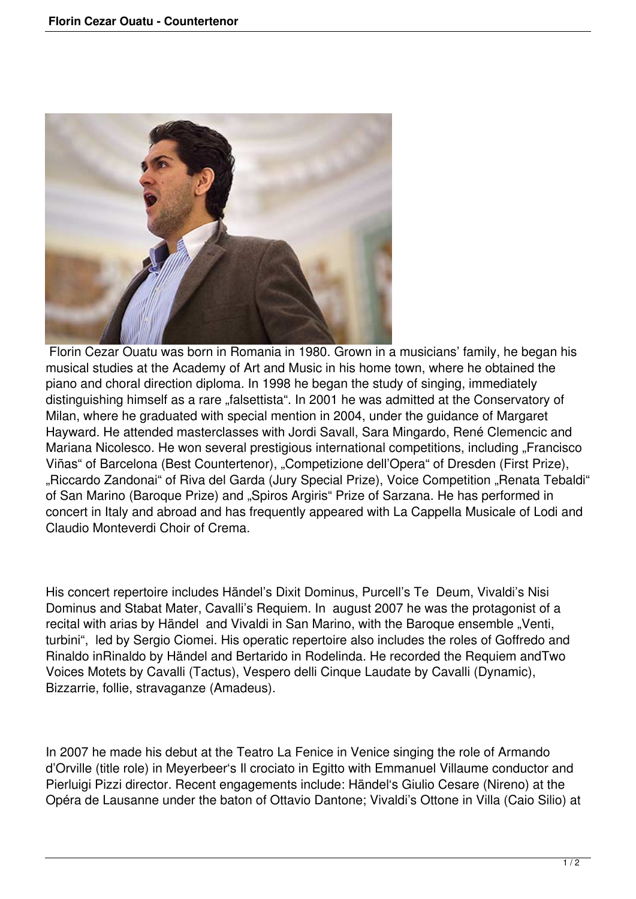

 Florin Cezar Ouatu was born in Romania in 1980. Grown in a musicians' family, he began his musical studies at the Academy of Art and Music in his home town, where he obtained the piano and choral direction diploma. In 1998 he began the study of singing, immediately distinguishing himself as a rare "falsettista". In 2001 he was admitted at the Conservatory of Milan, where he graduated with special mention in 2004, under the guidance of Margaret Hayward. He attended masterclasses with Jordi Savall, Sara Mingardo, René Clemencic and Mariana Nicolesco. He won several prestigious international competitions, including "Francisco Viñas" of Barcelona (Best Countertenor), "Competizione dell'Opera" of Dresden (First Prize), "Riccardo Zandonai" of Riva del Garda (Jury Special Prize), Voice Competition "Renata Tebaldi" of San Marino (Baroque Prize) and "Spiros Argiris" Prize of Sarzana. He has performed in concert in Italy and abroad and has frequently appeared with La Cappella Musicale of Lodi and Claudio Monteverdi Choir of Crema.

His concert repertoire includes Händel's Dixit Dominus, Purcell's Te Deum, Vivaldi's Nisi Dominus and Stabat Mater, Cavalli's Requiem. In august 2007 he was the protagonist of a recital with arias by Händel and Vivaldi in San Marino, with the Baroque ensemble "Venti, turbini", led by Sergio Ciomei. His operatic repertoire also includes the roles of Goffredo and Rinaldo inRinaldo by Händel and Bertarido in Rodelinda. He recorded the Requiem andTwo Voices Motets by Cavalli (Tactus), Vespero delli Cinque Laudate by Cavalli (Dynamic), Bizzarrie, follie, stravaganze (Amadeus).

In 2007 he made his debut at the Teatro La Fenice in Venice singing the role of Armando d'Orville (title role) in Meyerbeer's Il crociato in Egitto with Emmanuel Villaume conductor and Pierluigi Pizzi director. Recent engagements include: Händel's Giulio Cesare (Nireno) at the Opéra de Lausanne under the baton of Ottavio Dantone; Vivaldi's Ottone in Villa (Caio Silio) at